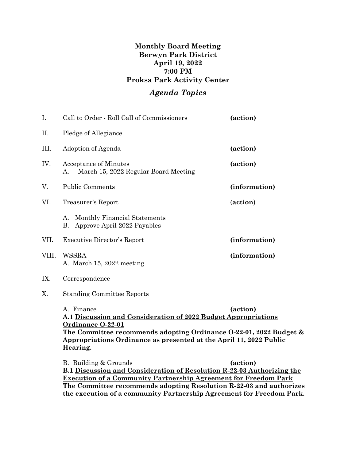## **Monthly Board Meeting Berwyn Park District April 19, 2022 7:00 PM Proksa Park Activity Center**

## *Agenda Topics*

| I.    | Call to Order - Roll Call of Commissioners                                                                                                                                                                                                                            | (action)      |
|-------|-----------------------------------------------------------------------------------------------------------------------------------------------------------------------------------------------------------------------------------------------------------------------|---------------|
| П.    | Pledge of Allegiance                                                                                                                                                                                                                                                  |               |
| III.  | Adoption of Agenda                                                                                                                                                                                                                                                    | (action)      |
| IV.   | <b>Acceptance of Minutes</b><br>March 15, 2022 Regular Board Meeting<br>А.                                                                                                                                                                                            | (action)      |
| V.    | <b>Public Comments</b>                                                                                                                                                                                                                                                | (information) |
| VI.   | Treasurer's Report                                                                                                                                                                                                                                                    | (action)      |
|       | Monthly Financial Statements<br>А.<br>Approve April 2022 Payables<br>В.                                                                                                                                                                                               |               |
| VII.  | Executive Director's Report                                                                                                                                                                                                                                           | (information) |
| VIII. | <b>WSSRA</b><br>A. March 15, 2022 meeting                                                                                                                                                                                                                             | (information) |
| IX.   | Correspondence                                                                                                                                                                                                                                                        |               |
| X.    | <b>Standing Committee Reports</b>                                                                                                                                                                                                                                     |               |
|       | A. Finance<br>(action)<br>A.1 Discussion and Consideration of 2022 Budget Appropriations<br>Ordinance O-22-01<br>The Committee recommends adopting Ordinance 0-22-01, 2022 Budget &<br>Appropriations Ordinance as presented at the April 11, 2022 Public<br>Hearing. |               |
|       | B. Building & Grounds                                                                                                                                                                                                                                                 | (action)      |

**B.1 Discussion and Consideration of Resolution R-22-03 Authorizing the Execution of a Community Partnership Agreement for Freedom Park The Committee recommends adopting Resolution R-22-03 and authorizes the execution of a community Partnership Agreement for Freedom Park.**